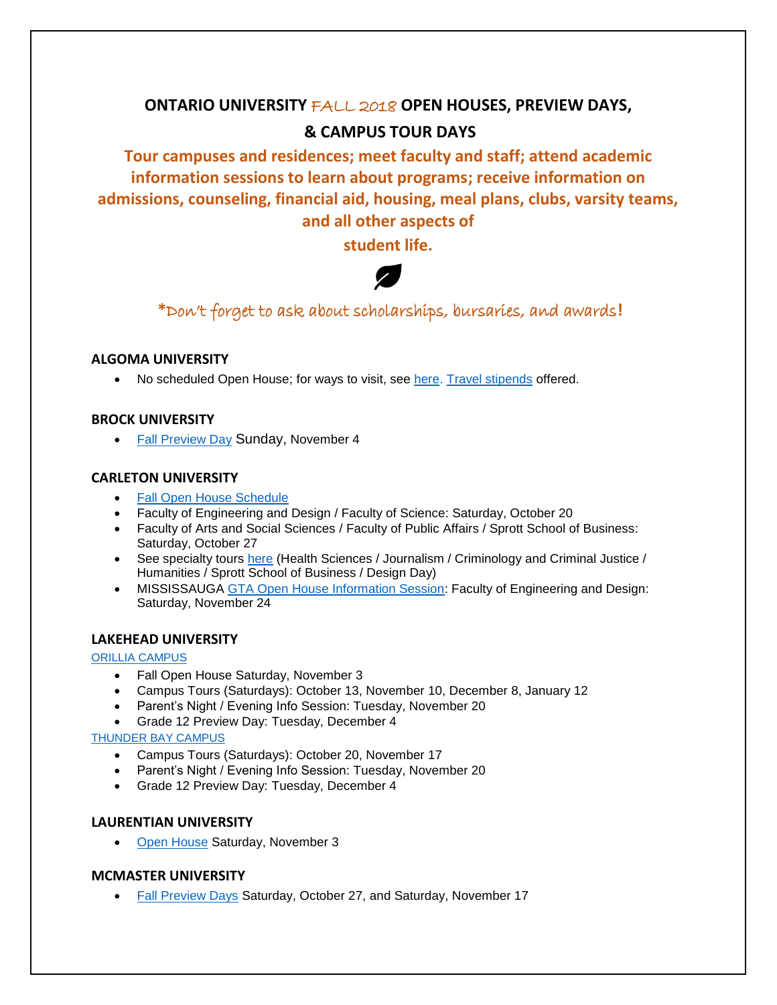# **ONTARIO UNIVERSITY** FALL 2018 **OPEN HOUSES, PREVIEW DAYS, & CAMPUS TOUR DAYS**

**Tour campuses and residences; meet faculty and staff; attend academic information sessions to learn about programs; receive information on admissions, counseling, financial aid, housing, meal plans, clubs, varsity teams, and all other aspects of** 

**student life.**



**\***Don't forget to ask about scholarships, bursaries, and awards**!**

# **ALGOMA UNIVERSITY**

No scheduled Open House; for ways to visit, see [here.](https://www.algomau.ca/future-students/visit-campus/) [Travel stipends](https://www.algomau.ca/admissions/visit/schedule-a-visit/) offered.

# **BROCK UNIVERSITY**

• [Fall Preview Day](https://discover.brocku.ca/fallpreviewday/) Sunday, November 4

# **CARLETON UNIVERSITY**

- [Fall Open House Schedule](https://admissions.carleton.ca/openhouse/)
- Faculty of Engineering and Design / Faculty of Science: Saturday, October 20
- Faculty of Arts and Social Sciences / Faculty of Public Affairs / Sprott School of Business: Saturday, October 27
- See specialty tours [here](https://admissions.carleton.ca/campustours/specialty-tours/) (Health Sciences / Journalism / Criminology and Criminal Justice / Humanities / Sprott School of Business / Design Day)
- MISSISSAUGA [GTA Open House Information Session:](https://admissions.carleton.ca/explore-engineering-design/) Faculty of Engineering and Design: Saturday, November 24

# **LAKEHEAD UNIVERSITY**

#### [ORILLIA CAMPUS](https://www.lakeheadu.ca/future-students/events)

- Fall Open House Saturday, November 3
- Campus Tours (Saturdays): October 13, November 10, December 8, January 12
- Parent's Night / Evening Info Session: Tuesday, November 20
- Grade 12 Preview Day: Tuesday, December 4

# [THUNDER BAY CAMPUS](https://www.lakeheadu.ca/future-students/events)

- Campus Tours (Saturdays): October 20, November 17
- Parent's Night / Evening Info Session: Tuesday, November 20
- Grade 12 Preview Day: Tuesday, December 4

# **LAURENTIAN UNIVERSITY**

• [Open House](https://laurentian.ca/open-house) Saturday, November 3

# **MCMASTER UNIVERSITY**

• [Fall Preview Days](https://future.mcmaster.ca/tours/openhouses/) Saturday, October 27, and Saturday, November 17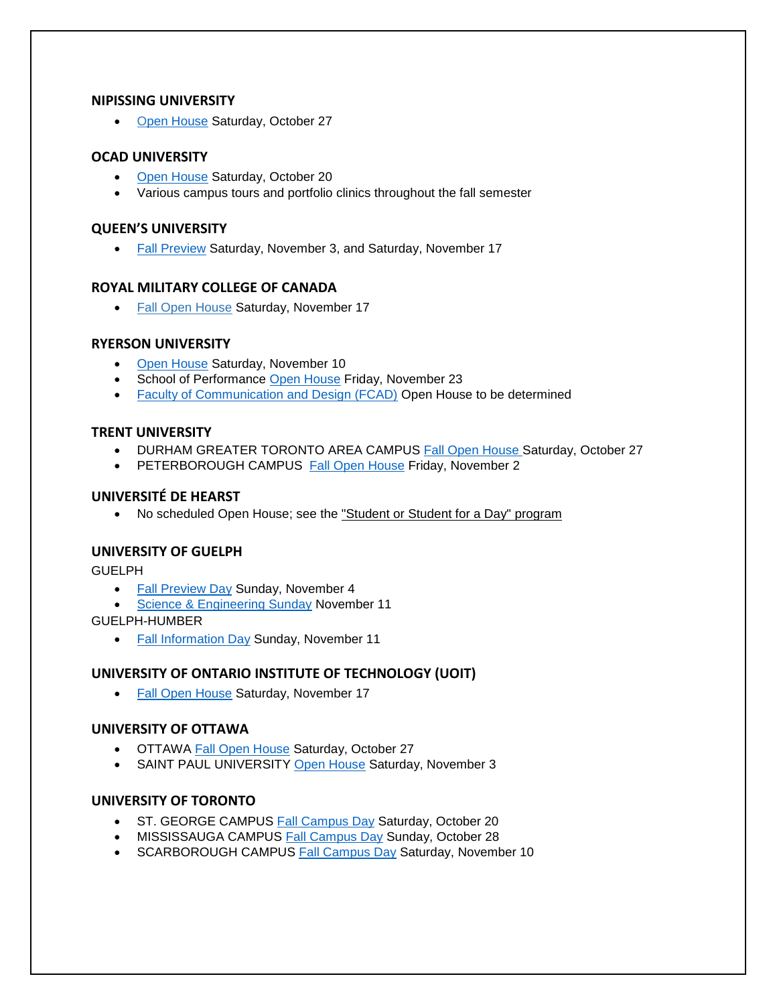#### **NIPISSING UNIVERSITY**

• [Open House](http://ibelongatnipissingu.ca/open-house/) Saturday, October 27

# **OCAD UNIVERSITY**

- [Open House](https://join.ocadu.ca/datatel.erecruiting.web.external/Pages/Events.aspx) Saturday, October 20
- Various campus tours and portfolio clinics throughout the fall semester

#### **QUEEN'S UNIVERSITY**

• [Fall Preview](https://www.queensu.ca/) Saturday, November 3, and Saturday, November 17

#### **ROYAL MILITARY COLLEGE OF CANADA**

• [Fall Open House](https://www.rmcc-cmrc.ca/en/registrars-office/visiting-rmcc) Saturday, November 17

# **RYERSON UNIVERSITY**

- [Open House](http://www.ryerson.ca/undergraduate/admission/connect/visits/) Saturday, November 10
- School of Performance [Open House](https://www.ryerson.ca/admissions/visits-tours/) Friday, November 23
- [Faculty of Communication and Design \(FCAD\)](https://www.ryerson.ca/fcad/) Open House to be determined

# **TRENT UNIVERSITY**

- DURHAM GREATER TORONTO AREA CAMPUS [Fall Open House](https://www.trentu.ca/futurestudents/open-house-tours) Saturday, October 27
- PETERBOROUGH CAMPUS[Fall Open House](https://www.trentu.ca/futurestudents/open-house-tours) Friday, November 2

# **UNIVERSITÉ DE HEARST**

• No scheduled Open House; see the ["Student or Student for a Day" program](http://www.uhearst.ca/etudiant-un-jour)

# **UNIVERSITY OF GUELPH**

GUELPH

- [Fall Preview Day](https://admission.uoguelph.ca/events) Sunday, November 4
- [Science & Engineering Sunday](https://admission.uoguelph.ca/events) November 11

GUELPH-HUMBER

• [Fall Information Day](https://www.guelphhumber.ca/) Sunday, November 11

# **UNIVERSITY OF ONTARIO INSTITUTE OF TECHNOLOGY (UOIT)**

• [Fall Open House](https://sites.uoit.ca/openhouse/) Saturday, November 17

# **UNIVERSITY OF OTTAWA**

- OTTAWA [Fall Open House](https://www.uottawa.ca/undergraduate-admissions/admission-events/open-house) Saturday, October 27
- SAINT PAUL UNIVERSITY [Open House](https://ustpaul.ca/en/open-house-november-3-2018_6556_17.htm) Saturday, November 3

# **UNIVERSITY OF TORONTO**

- ST. GEORGE CAMPUS [Fall Campus Day](http://future.utoronto.ca/fallcampusdays) Saturday, October 20
- MISSISSAUGA CAMPUS [Fall Campus Day](https://www.utm.utoronto.ca/future-students/visit/fall-campus-day) Sunday, October 28
- SCARBOROUGH CAMPUS [Fall Campus Day](http://www.utsc.utoronto.ca/admissions/fall-campus-day) Saturday, November 10